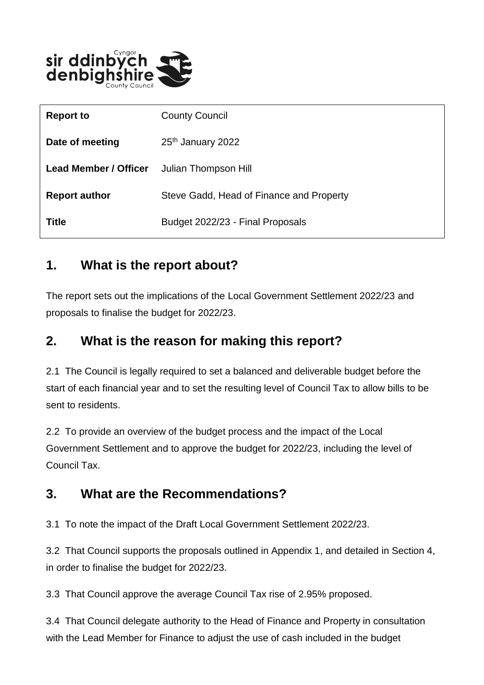

| <b>Report to</b>             | <b>County Council</b>                    |
|------------------------------|------------------------------------------|
| Date of meeting              | 25 <sup>th</sup> January 2022            |
| <b>Lead Member / Officer</b> | Julian Thompson Hill                     |
| <b>Report author</b>         | Steve Gadd, Head of Finance and Property |
| <b>Title</b>                 | Budget 2022/23 - Final Proposals         |

#### **1. What is the report about?**

The report sets out the implications of the Local Government Settlement 2022/23 and proposals to finalise the budget for 2022/23.

#### **2. What is the reason for making this report?**

2.1 The Council is legally required to set a balanced and deliverable budget before the start of each financial year and to set the resulting level of Council Tax to allow bills to be sent to residents.

2.2 To provide an overview of the budget process and the impact of the Local Government Settlement and to approve the budget for 2022/23, including the level of Council Tax.

#### **3. What are the Recommendations?**

3.1 To note the impact of the Draft Local Government Settlement 2022/23.

3.2 That Council supports the proposals outlined in Appendix 1, and detailed in Section 4, in order to finalise the budget for 2022/23.

3.3 That Council approve the average Council Tax rise of 2.95% proposed.

3.4 That Council delegate authority to the Head of Finance and Property in consultation with the Lead Member for Finance to adjust the use of cash included in the budget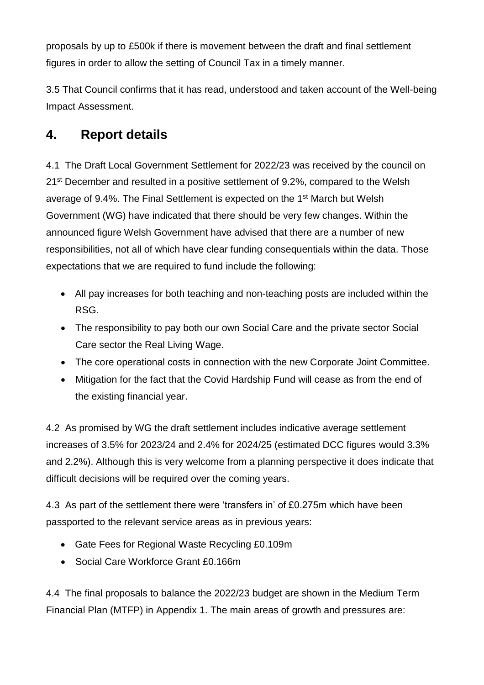proposals by up to £500k if there is movement between the draft and final settlement figures in order to allow the setting of Council Tax in a timely manner.

3.5 That Council confirms that it has read, understood and taken account of the Well-being Impact Assessment.

#### **4. Report details**

4.1 The Draft Local Government Settlement for 2022/23 was received by the council on 21<sup>st</sup> December and resulted in a positive settlement of 9.2%, compared to the Welsh average of 9.4%. The Final Settlement is expected on the 1<sup>st</sup> March but Welsh Government (WG) have indicated that there should be very few changes. Within the announced figure Welsh Government have advised that there are a number of new responsibilities, not all of which have clear funding consequentials within the data. Those expectations that we are required to fund include the following:

- All pay increases for both teaching and non-teaching posts are included within the RSG.
- The responsibility to pay both our own Social Care and the private sector Social Care sector the Real Living Wage.
- The core operational costs in connection with the new Corporate Joint Committee.
- Mitigation for the fact that the Covid Hardship Fund will cease as from the end of the existing financial year.

4.2 As promised by WG the draft settlement includes indicative average settlement increases of 3.5% for 2023/24 and 2.4% for 2024/25 (estimated DCC figures would 3.3% and 2.2%). Although this is very welcome from a planning perspective it does indicate that difficult decisions will be required over the coming years.

4.3 As part of the settlement there were 'transfers in' of £0.275m which have been passported to the relevant service areas as in previous years:

- Gate Fees for Regional Waste Recycling £0.109m
- Social Care Workforce Grant £0.166m

4.4 The final proposals to balance the 2022/23 budget are shown in the Medium Term Financial Plan (MTFP) in Appendix 1. The main areas of growth and pressures are: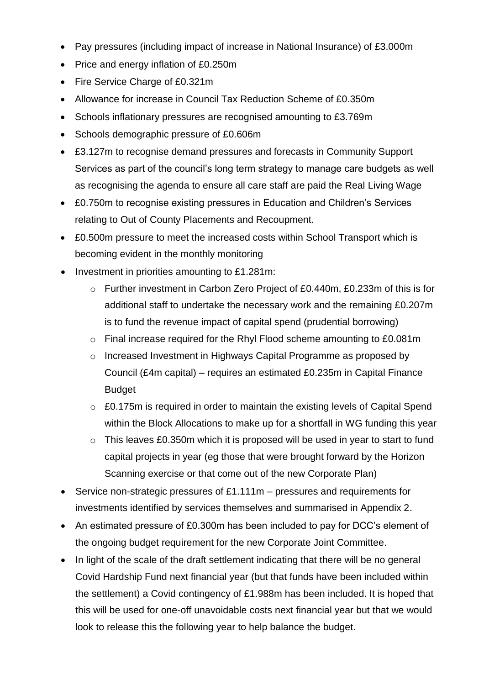- Pay pressures (including impact of increase in National Insurance) of £3.000m
- Price and energy inflation of £0.250m
- Fire Service Charge of £0.321m
- Allowance for increase in Council Tax Reduction Scheme of £0.350m
- Schools inflationary pressures are recognised amounting to £3.769m
- Schools demographic pressure of £0.606m
- £3.127m to recognise demand pressures and forecasts in Community Support Services as part of the council's long term strategy to manage care budgets as well as recognising the agenda to ensure all care staff are paid the Real Living Wage
- £0.750m to recognise existing pressures in Education and Children's Services relating to Out of County Placements and Recoupment.
- £0.500m pressure to meet the increased costs within School Transport which is becoming evident in the monthly monitoring
- Investment in priorities amounting to £1.281m:
	- o Further investment in Carbon Zero Project of £0.440m, £0.233m of this is for additional staff to undertake the necessary work and the remaining £0.207m is to fund the revenue impact of capital spend (prudential borrowing)
	- o Final increase required for the Rhyl Flood scheme amounting to £0.081m
	- o Increased Investment in Highways Capital Programme as proposed by Council (£4m capital) – requires an estimated £0.235m in Capital Finance Budget
	- $\circ$  £0.175m is required in order to maintain the existing levels of Capital Spend within the Block Allocations to make up for a shortfall in WG funding this year
	- $\circ$  This leaves £0.350m which it is proposed will be used in year to start to fund capital projects in year (eg those that were brought forward by the Horizon Scanning exercise or that come out of the new Corporate Plan)
- Service non-strategic pressures of £1.111m pressures and requirements for investments identified by services themselves and summarised in Appendix 2.
- An estimated pressure of £0.300m has been included to pay for DCC's element of the ongoing budget requirement for the new Corporate Joint Committee.
- In light of the scale of the draft settlement indicating that there will be no general Covid Hardship Fund next financial year (but that funds have been included within the settlement) a Covid contingency of £1.988m has been included. It is hoped that this will be used for one-off unavoidable costs next financial year but that we would look to release this the following year to help balance the budget.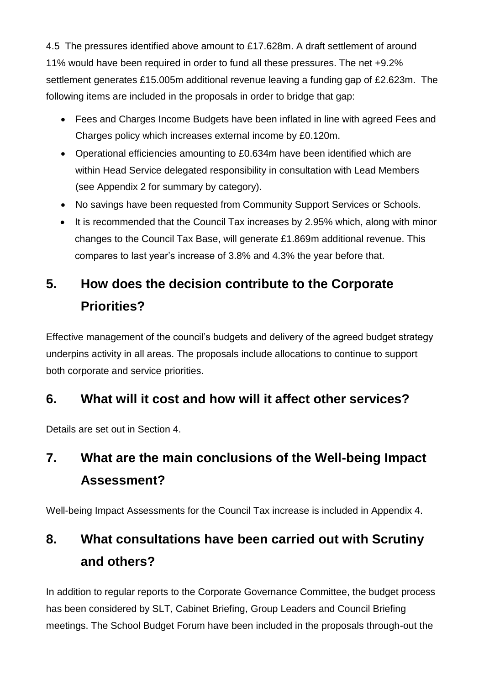4.5 The pressures identified above amount to £17.628m. A draft settlement of around 11% would have been required in order to fund all these pressures. The net +9.2% settlement generates £15.005m additional revenue leaving a funding gap of £2.623m. The following items are included in the proposals in order to bridge that gap:

- Fees and Charges Income Budgets have been inflated in line with agreed Fees and Charges policy which increases external income by £0.120m.
- Operational efficiencies amounting to £0.634m have been identified which are within Head Service delegated responsibility in consultation with Lead Members (see Appendix 2 for summary by category).
- No savings have been requested from Community Support Services or Schools.
- It is recommended that the Council Tax increases by 2.95% which, along with minor changes to the Council Tax Base, will generate £1.869m additional revenue. This compares to last year's increase of 3.8% and 4.3% the year before that.

# **5. How does the decision contribute to the Corporate Priorities?**

Effective management of the council's budgets and delivery of the agreed budget strategy underpins activity in all areas. The proposals include allocations to continue to support both corporate and service priorities.

## **6. What will it cost and how will it affect other services?**

Details are set out in Section 4.

# **7. What are the main conclusions of the Well-being Impact Assessment?**

Well-being Impact Assessments for the Council Tax increase is included in Appendix 4.

# **8. What consultations have been carried out with Scrutiny and others?**

In addition to regular reports to the Corporate Governance Committee, the budget process has been considered by SLT, Cabinet Briefing, Group Leaders and Council Briefing meetings. The School Budget Forum have been included in the proposals through-out the